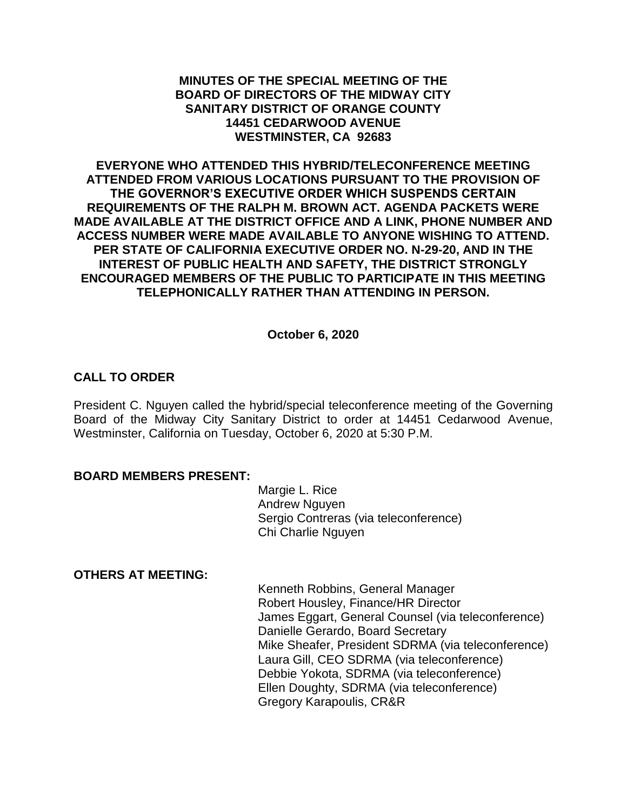#### **MINUTES OF THE SPECIAL MEETING OF THE BOARD OF DIRECTORS OF THE MIDWAY CITY SANITARY DISTRICT OF ORANGE COUNTY 14451 CEDARWOOD AVENUE WESTMINSTER, CA 92683**

**EVERYONE WHO ATTENDED THIS HYBRID/TELECONFERENCE MEETING ATTENDED FROM VARIOUS LOCATIONS PURSUANT TO THE PROVISION OF THE GOVERNOR'S EXECUTIVE ORDER WHICH SUSPENDS CERTAIN REQUIREMENTS OF THE RALPH M. BROWN ACT. AGENDA PACKETS WERE MADE AVAILABLE AT THE DISTRICT OFFICE AND A LINK, PHONE NUMBER AND ACCESS NUMBER WERE MADE AVAILABLE TO ANYONE WISHING TO ATTEND. PER STATE OF CALIFORNIA EXECUTIVE ORDER NO. N-29-20, AND IN THE INTEREST OF PUBLIC HEALTH AND SAFETY, THE DISTRICT STRONGLY ENCOURAGED MEMBERS OF THE PUBLIC TO PARTICIPATE IN THIS MEETING TELEPHONICALLY RATHER THAN ATTENDING IN PERSON.**

#### **October 6, 2020**

### **CALL TO ORDER**

President C. Nguyen called the hybrid/special teleconference meeting of the Governing Board of the Midway City Sanitary District to order at 14451 Cedarwood Avenue, Westminster, California on Tuesday, October 6, 2020 at 5:30 P.M.

#### **BOARD MEMBERS PRESENT:**

Margie L. Rice Andrew Nguyen Sergio Contreras (via teleconference) Chi Charlie Nguyen

#### **OTHERS AT MEETING:**

Kenneth Robbins, General Manager Robert Housley, Finance/HR Director James Eggart, General Counsel (via teleconference) Danielle Gerardo, Board Secretary Mike Sheafer, President SDRMA (via teleconference) Laura Gill, CEO SDRMA (via teleconference) Debbie Yokota, SDRMA (via teleconference) Ellen Doughty, SDRMA (via teleconference) Gregory Karapoulis, CR&R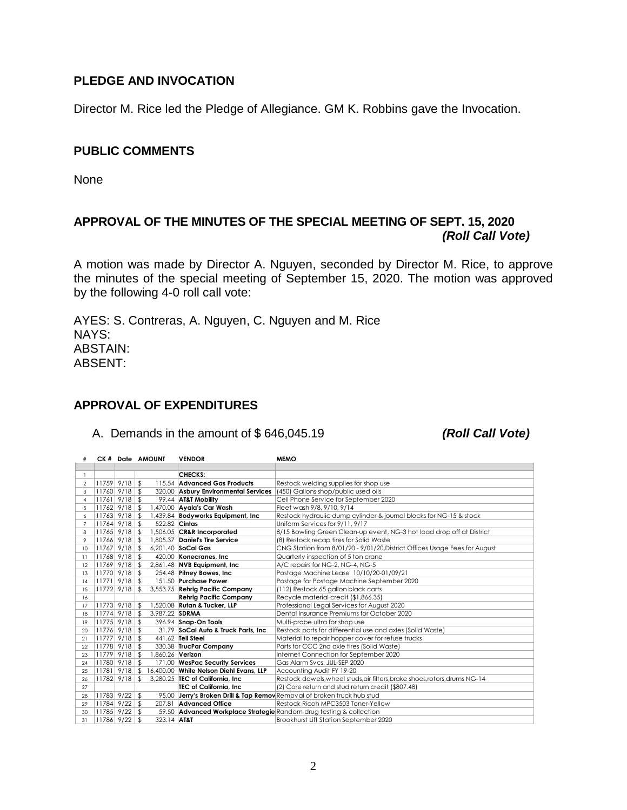### **PLEDGE AND INVOCATION**

Director M. Rice led the Pledge of Allegiance. GM K. Robbins gave the Invocation.

#### **PUBLIC COMMENTS**

None

# **APPROVAL OF THE MINUTES OF THE SPECIAL MEETING OF SEPT. 15, 2020** *(Roll Call Vote)*

A motion was made by Director A. Nguyen, seconded by Director M. Rice, to approve the minutes of the special meeting of September 15, 2020. The motion was approved by the following 4-0 roll call vote:

AYES: S. Contreras, A. Nguyen, C. Nguyen and M. Rice NAYS: ABSTAIN: ABSENT:

### **APPROVAL OF EXPENDITURES**

A. Demands in the amount of \$ 646,045.19 *(Roll Call Vote)*

|                 |                   | CK # Date AMOUNT | <b>VENDOR</b>                           | <b>MEMO</b>                                                                |
|-----------------|-------------------|------------------|-----------------------------------------|----------------------------------------------------------------------------|
|                 |                   |                  |                                         |                                                                            |
|                 |                   |                  | CHECKS:                                 |                                                                            |
| $\overline{2}$  | $11759$ $9/18$ \$ |                  | 115.54 Advanced Gas Products            | Restock welding supplies for shop use                                      |
| 3               | $11760$ $9/18$ \$ |                  | 320.00 Asbury Environmental Services    | (450) Gallons shop/public used oils                                        |
| $\overline{4}$  | $11761$ $9/18$ \$ |                  | 99.44 AT&T Mobility                     | Cell Phone Service for September 2020                                      |
| 5               | $11762$ 9/18 \$   |                  | 1,470.00 Ayala's Car Wash               | Fleet wash 9/8, 9/10, 9/14                                                 |
| 6               | $11763$ $9/18$ \$ |                  | 1,439.84 Bodyworks Equipment, Inc.      | Restock hydraulic dump cylinder & journal blocks for NG-15 & stock         |
| $\overline{7}$  | $11764$ 9/18 \$   | 522.82 Cintas    |                                         | Uniform Services for 9/11, 9/17                                            |
| 8               | $11765$ $9/18$ \$ |                  | 1,506.05 CR&R Incorporated              | 8/15 Bowling Green Clean-up event, NG-3 hot load drop off at District      |
| 9               | $11766$ $9/18$ \$ | 1.805.37         | Daniel's Tire Service                   | (8) Restock recap tires for Solid Waste                                    |
| 10              | $11767$ 9/18 \$   |                  | 6.201.40 SoCal Gas                      | CNG Station from 8/01/20 - 9/01/20, District Offices Usage Fees for August |
| $\overline{11}$ | $11768$ $9/18$ \$ | 420.00           | Konecranes, Inc.                        | Quarterly inspection of 5 ton crane                                        |
| 12              | $11769$ $9/18$ \$ |                  | 2,861.48 NVB Equipment, Inc.            | A/C repairs for NG-2, NG-4, NG-5                                           |
| 13              | $11770$ $9/18$ \$ |                  | 254.48 Pitney Bowes, Inc.               | Postage Machine Lease 10/10/20-01/09/21                                    |
| 14              | $11771$ 9/18 \$   |                  | 151.50 Purchase Power                   | Postage for Postage Machine September 2020                                 |
| 15              | $11772$ $9/18$ \$ |                  | 3,553.75 Rehrig Pacific Company         | (112) Restock 65 gallon black carts                                        |
| 16              |                   |                  | <b>Rehrig Pacific Company</b>           | Recycle material credit (\$1,866.35)                                       |
| 17              | $11773$ $9/18$ \$ |                  | 1,520.08 Rutan & Tucker, LLP            | Professional Legal Services for August 2020                                |
| 18              | $11774$ 9/18 \$   | 3.987.22 SDRMA   |                                         | Dental Insurance Premiums for October 2020                                 |
| 19              | $11775$ 9/18 \$   |                  | 396.94 Snap-On Tools                    | Multi-probe ultra for shop use                                             |
| 20              | $11776$ $9/18$ \$ |                  | 31.79 SoCal Auto & Truck Parts, Inc     | Restock parts for differential use and axles (Solid Waste)                 |
| 21              | $11777$ $9/18$ \$ |                  | 441.62 Tell Steel                       | Material to repair hopper cover for refuse trucks                          |
| 22              | $11778$ $9/18$ \$ |                  | 330.38 TrucPar Company                  | Parts for CCC 2nd axle tires (Solid Waste)                                 |
| 23              | $11779$ $9/18$ \$ | 1,860.26 Verizon |                                         | Internet Connection for September 2020                                     |
| 24              | $11780$ $9/18$ \$ |                  | 171.00 WesPac Security Services         | Gas Alarm Svcs. JUL-SEP 2020                                               |
| 25              | $11781$ 9/18 \$   |                  | 16,400.00 White Nelson Diehl Evans, LLP | Accounting Audit FY 19-20                                                  |
| 26              | $11782$ $9/18$ \$ |                  | 3,280.25 TEC of California, Inc.        | Restock dowels, wheel studs, air filters, brake shoes, rotors, drums NG-14 |
| 27              |                   |                  | <b>TEC of California, Inc.</b>          | (2) Core return and stud return credit (\$807.48)                          |
| 28              | $11783$ $9/22$ \$ | 95.00            |                                         | Jerry's Broken Drill & Tap Remov Removal of broken truck hub stud          |
| 29              | $11784$ $9/22$ \$ | 207.81           | <b>Advanced Office</b>                  | Restock Ricoh MPC3503 Toner-Yellow                                         |
| 30              | $11785$ $9/22$ \$ |                  |                                         | 59.50 Advanced Workplace Strategie Random drug testing & collection        |
| 31              | $11786$ $9/22$ \$ | 323.14 AT&T      |                                         | Brookhurst Lift Station September 2020                                     |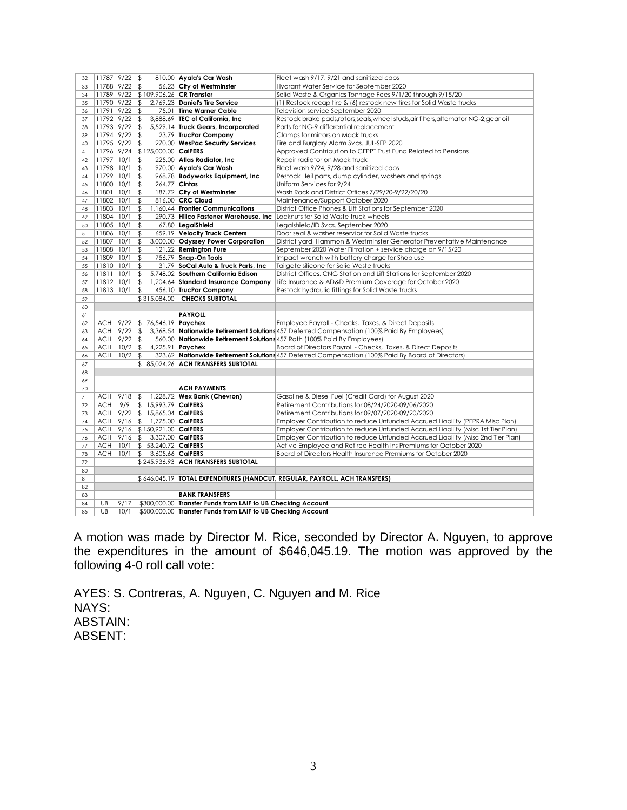| 32       | $11787$ $9/22$ \$            |           |                                      | 810.00 Ayala's Car Wash                                      | Fleet wash 9/17, 9/21 and sanitized cabs                                                                     |
|----------|------------------------------|-----------|--------------------------------------|--------------------------------------------------------------|--------------------------------------------------------------------------------------------------------------|
| 33       | $11788$ $9/22$ \$            |           |                                      | 56.23 City of Westminster                                    | Hydrant Water Service for September 2020                                                                     |
| 34       |                              |           | 11789 9/22 \$109,906.26 CR Transfer  |                                                              | Solid Waste & Organics Tonnage Fees 9/1/20 through 9/15/20                                                   |
| 35       | $11790$ $9/22$ \$            |           |                                      | 2,769.23 Daniel's Tire Service                               | (1) Restock recap tire & (6) restock new tires for Solid Waste trucks                                        |
| 36       | $11791$ $9/22$ \$            |           |                                      | 75.01 Time Warner Cable                                      | Television service September 2020                                                                            |
| 37       | $11792$ $9/22$ \$            |           |                                      | 3,888.69 TEC of California, Inc.                             | Restock brake pads,rotors,seals,wheel studs,air filters,alternator NG-2,gear oil                             |
| 38       | $11793$ 9/22   \$            |           |                                      | 5,529.14 Truck Gears, Incorporated                           | Parts for NG-9 differential replacement                                                                      |
| 39       | $11794$ $9/22$ \$            |           |                                      | 23.79 TrucPar Company                                        | Clamps for mirrors on Mack trucks                                                                            |
| 40       | $11795$ $9/22$ \$            |           |                                      | 270.00 WesPac Security Services                              | Fire and Burglary Alarm Svcs. JUL-SEP 2020                                                                   |
| 41       |                              |           | 11796 9/24 \$125,000.00 CalPERS      |                                                              | Approved Contribution to CEPPT Trust Fund Related to Pensions                                                |
| 42       | $11797$ $10/1$ \$            |           |                                      | 225.00 Atlas Radiator, Inc.                                  | Repair radiator on Mack truck                                                                                |
| 43       | $11798$ $10/1$ \$            |           |                                      | 970.00 Ayala's Car Wash                                      | Fleet wash 9/24, 9/28 and sanitized cabs                                                                     |
| 44       | $11799$ 10/1                 |           | $\sqrt[6]{2}$                        | 968.78 Bodyworks Equipment, Inc                              | Restock Heil parts, dump cylinder, washers and springs                                                       |
| 45       | $11800$ $10/1$ $\frac{6}{5}$ |           | 264.77 Cintas                        |                                                              | Uniform Services for 9/24                                                                                    |
| 46       | $11801$ $10/1$ \$            |           |                                      | 187.72 City of Westminster                                   | Wash Rack and District Offices 7/29/20-9/22/20/20                                                            |
| 47       | $11802$ $10/1$ \$            |           |                                      | 816.00 CRC Cloud                                             | Maintenance/Support October 2020                                                                             |
| 48       | $ 11803 10/1 $ \$            |           |                                      | 1,160.44 Frontier Communications                             | District Office Phones & Lift Stations for September 2020                                                    |
| 49       | $11804$ $10/1$ \$            |           |                                      | 290.73 Hillco Fastener Warehouse, Inc                        | Locknuts for Solid Waste truck wheels                                                                        |
| 50       | $11805$ $10/1$ \$            |           |                                      | 67.80 LegalShield                                            | Legalshield/ID Svcs. September 2020                                                                          |
| 51       | $11806$ $10/1$ \$            |           |                                      | 659.19 Velocity Truck Centers                                | Door seal & washer reservior for Solid Waste trucks                                                          |
| 52       | $11807$ $10/1$ \$            |           |                                      | 3,000.00 Odyssey Power Corporation                           | District yard, Hammon & Westminster Generator Preventative Maintenance                                       |
| 53       | $11808$ $10/1$   \$          |           |                                      | 121.22 Remington Pure                                        | September 2020 Water Filtration + service charge on 9/15/20                                                  |
| 54       | $11809$ $10/1$ \$            |           |                                      | 756.79 Snap-On Tools                                         | Impact wrench with battery charge for Shop use                                                               |
| 55       | $11810$ $10/1$ \$            |           |                                      | 31.79 SoCal Auto & Truck Parts, Inc                          | Tailgate silicone for Solid Waste trucks                                                                     |
| 56       | $11811$ $10/1$ \$            |           |                                      | 5,748.02 Southern California Edison                          | District Offices, CNG Station and Lift Stations for September 2020                                           |
| 57       | $11812$ 10/1                 |           | $\sqrt{2}$                           | 1,204.64 Standard Insurance Company                          | Life Insurance & AD&D Premium Coverage for October 2020                                                      |
| 58       | $11813$ $10/1$ $\sqrt{5}$    |           |                                      | 456.10 TrucPar Company                                       | Restock hydraulic fittings for Solid Waste trucks                                                            |
| 59       |                              |           |                                      | \$315,084.00 CHECKS SUBTOTAL                                 |                                                                                                              |
| 60       |                              |           |                                      |                                                              |                                                                                                              |
| 61       |                              |           |                                      | <b>PAYROLL</b>                                               |                                                                                                              |
| 62       |                              |           | ACH 9/22 \$ 76,546.19 <b>Paychex</b> |                                                              | Employee Payroll - Checks, Taxes, & Direct Deposits                                                          |
| 63       | ACH                          |           |                                      |                                                              | $9/22$ \$ 3,368.54 <b>Nationwide Retirement Solutions</b> 457 Deferred Compensation (100% Paid By Employees) |
| 64       | ACH                          | $9/22$ \$ |                                      |                                                              | 560.00 Nationwide Retirement Solutions 457 Roth (100% Paid By Employees)                                     |
| 65       | <b>ACH</b>                   | $10/2$ \$ |                                      | 4,225.91 <b>Paychex</b>                                      | Board of Directors Payroll - Checks, Taxes, & Direct Deposits                                                |
| 66       | <b>ACH</b>                   | $10/2$ \$ |                                      |                                                              | 323.62 Nationwide Retirement Solutions 457 Deferred Compensation (100% Paid By Board of Directors)           |
| 67       |                              |           |                                      | \$85,024.26 ACH TRANSFERS SUBTOTAL                           |                                                                                                              |
| 68       |                              |           |                                      |                                                              |                                                                                                              |
| 69       |                              |           |                                      |                                                              |                                                                                                              |
| 70       | ACH                          | $9/18$ \$ |                                      | <b>ACH PAYMENTS</b><br>1,228.72 Wex Bank (Chevron)           |                                                                                                              |
| 71<br>72 | <b>ACH</b>                   | 9/9       | \$ 15,993.79 CalPERS                 |                                                              | Gasoline & Diesel Fuel (Credit Card) for August 2020<br>Retirement Contributions for 08/24/2020-09/06/2020   |
| 73       |                              |           | ACH   9/22   \$ 15,865.04 CalPERS    |                                                              | Retirement Contributions for 09/07/2020-09/20/2020                                                           |
| 74       | ACH                          |           | 9/16 \$ 1,775.00 CalPERS             |                                                              | Employer Contribution to reduce Unfunded Accrued Liability (PEPRA Misc Plan)                                 |
| 75       | ACH                          |           | 9/16 \$150,921.00 CalPERS            |                                                              | Employer Contribution to reduce Unfunded Accrued Liability (Misc 1st Tier Plan)                              |
| 76       |                              |           | ACH 9/16 \$ 3,307.00 CalPERS         |                                                              | Employer Contribution to reduce Unfunded Accrued Liability (Misc 2nd Tier Plan)                              |
| 77       | <b>ACH</b>                   |           | 10/1   \$ 53,240.72 CalPERS          |                                                              | Active Employee and Retiree Health Ins Premiums for October 2020                                             |
| 78       | <b>ACH</b>                   | 10/1      | 3,605.66 CalPERS<br>$\mathbb{S}$     |                                                              | Board of Directors Health Insurance Premiums for October 2020                                                |
| 79       |                              |           |                                      | \$245,936.93 ACH TRANSFERS SUBTOTAL                          |                                                                                                              |
| 80       |                              |           |                                      |                                                              |                                                                                                              |
| 81       |                              |           |                                      |                                                              | \$646,045.19   TOTAL EXPENDITURES (HANDCUT, REGULAR, PAYROLL, ACH TRANSFERS)                                 |
| 82       |                              |           |                                      |                                                              |                                                                                                              |
| 83       |                              |           |                                      | <b>BANK TRANSFERS</b>                                        |                                                                                                              |
| 84       | UB                           | 9/17      |                                      | \$300,000.00 Transfer Funds from LAIF to UB Checking Account |                                                                                                              |
| 85       | UB                           | 10/1      |                                      | \$500,000.00 Transfer Funds from LAIF to UB Checking Account |                                                                                                              |

A motion was made by Director M. Rice, seconded by Director A. Nguyen, to approve the expenditures in the amount of \$646,045.19. The motion was approved by the following 4-0 roll call vote:

AYES: S. Contreras, A. Nguyen, C. Nguyen and M. Rice NAYS: ABSTAIN: ABSENT: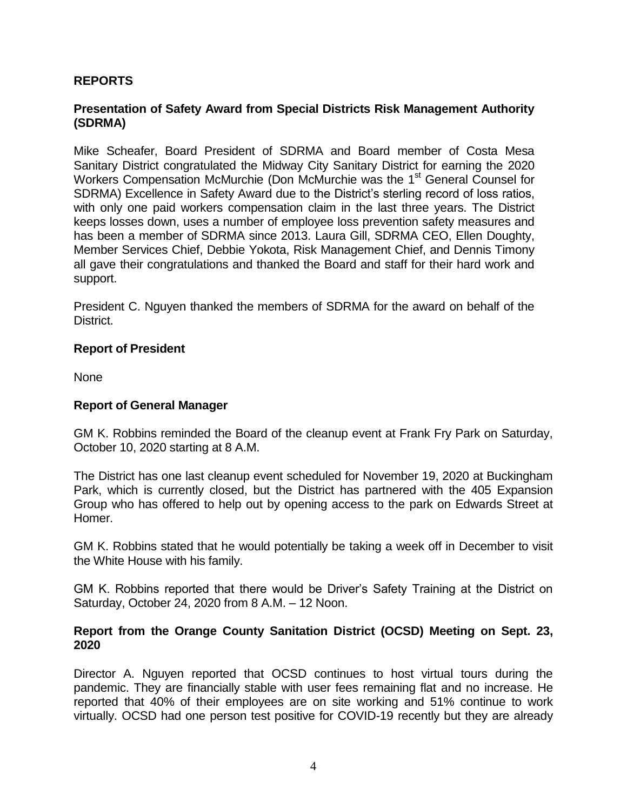### **REPORTS**

#### **Presentation of Safety Award from Special Districts Risk Management Authority (SDRMA)**

Mike Scheafer, Board President of SDRMA and Board member of Costa Mesa Sanitary District congratulated the Midway City Sanitary District for earning the 2020 Workers Compensation McMurchie (Don McMurchie was the 1<sup>st</sup> General Counsel for SDRMA) Excellence in Safety Award due to the District's sterling record of loss ratios, with only one paid workers compensation claim in the last three years. The District keeps losses down, uses a number of employee loss prevention safety measures and has been a member of SDRMA since 2013. Laura Gill, SDRMA CEO, Ellen Doughty, Member Services Chief, Debbie Yokota, Risk Management Chief, and Dennis Timony all gave their congratulations and thanked the Board and staff for their hard work and support.

President C. Nguyen thanked the members of SDRMA for the award on behalf of the District.

#### **Report of President**

None

#### **Report of General Manager**

GM K. Robbins reminded the Board of the cleanup event at Frank Fry Park on Saturday, October 10, 2020 starting at 8 A.M.

The District has one last cleanup event scheduled for November 19, 2020 at Buckingham Park, which is currently closed, but the District has partnered with the 405 Expansion Group who has offered to help out by opening access to the park on Edwards Street at Homer.

GM K. Robbins stated that he would potentially be taking a week off in December to visit the White House with his family.

GM K. Robbins reported that there would be Driver's Safety Training at the District on Saturday, October 24, 2020 from 8 A.M. – 12 Noon.

#### **Report from the Orange County Sanitation District (OCSD) Meeting on Sept. 23, 2020**

Director A. Nguyen reported that OCSD continues to host virtual tours during the pandemic. They are financially stable with user fees remaining flat and no increase. He reported that 40% of their employees are on site working and 51% continue to work virtually. OCSD had one person test positive for COVID-19 recently but they are already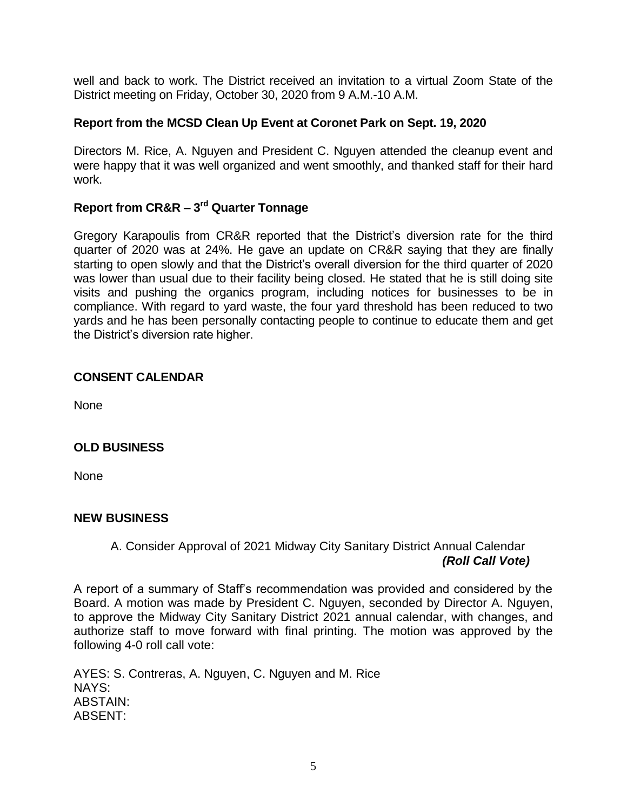well and back to work. The District received an invitation to a virtual Zoom State of the District meeting on Friday, October 30, 2020 from 9 A.M.-10 A.M.

## **Report from the MCSD Clean Up Event at Coronet Park on Sept. 19, 2020**

Directors M. Rice, A. Nguyen and President C. Nguyen attended the cleanup event and were happy that it was well organized and went smoothly, and thanked staff for their hard work.

# **Report from CR&R – 3 rd Quarter Tonnage**

Gregory Karapoulis from CR&R reported that the District's diversion rate for the third quarter of 2020 was at 24%. He gave an update on CR&R saying that they are finally starting to open slowly and that the District's overall diversion for the third quarter of 2020 was lower than usual due to their facility being closed. He stated that he is still doing site visits and pushing the organics program, including notices for businesses to be in compliance. With regard to yard waste, the four yard threshold has been reduced to two yards and he has been personally contacting people to continue to educate them and get the District's diversion rate higher.

### **CONSENT CALENDAR**

None

# **OLD BUSINESS**

None

### **NEW BUSINESS**

## A. Consider Approval of 2021 Midway City Sanitary District Annual Calendar *(Roll Call Vote)*

A report of a summary of Staff's recommendation was provided and considered by the Board. A motion was made by President C. Nguyen, seconded by Director A. Nguyen, to approve the Midway City Sanitary District 2021 annual calendar, with changes, and authorize staff to move forward with final printing. The motion was approved by the following 4-0 roll call vote:

AYES: S. Contreras, A. Nguyen, C. Nguyen and M. Rice NAYS: ABSTAIN: ABSENT: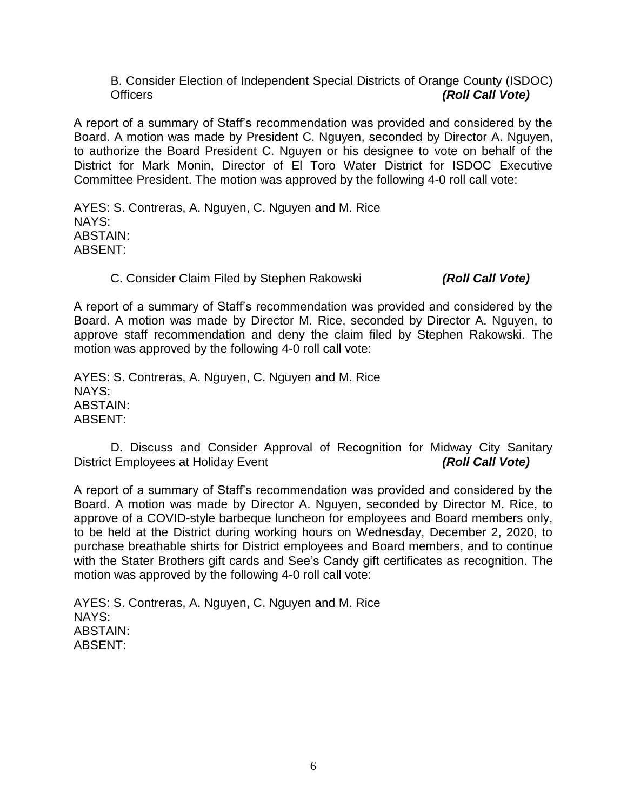B. Consider Election of Independent Special Districts of Orange County (ISDOC) Officers *(Roll Call Vote)*

A report of a summary of Staff's recommendation was provided and considered by the Board. A motion was made by President C. Nguyen, seconded by Director A. Nguyen, to authorize the Board President C. Nguyen or his designee to vote on behalf of the District for Mark Monin, Director of El Toro Water District for ISDOC Executive Committee President. The motion was approved by the following 4-0 roll call vote:

AYES: S. Contreras, A. Nguyen, C. Nguyen and M. Rice NAYS: ABSTAIN: ABSENT:

#### C. Consider Claim Filed by Stephen Rakowski *(Roll Call Vote)*

A report of a summary of Staff's recommendation was provided and considered by the Board. A motion was made by Director M. Rice, seconded by Director A. Nguyen, to approve staff recommendation and deny the claim filed by Stephen Rakowski. The motion was approved by the following 4-0 roll call vote:

AYES: S. Contreras, A. Nguyen, C. Nguyen and M. Rice NAYS: ABSTAIN: ABSENT:

D. Discuss and Consider Approval of Recognition for Midway City Sanitary District Employees at Holiday Event *(Roll Call Vote)* 

A report of a summary of Staff's recommendation was provided and considered by the Board. A motion was made by Director A. Nguyen, seconded by Director M. Rice, to approve of a COVID-style barbeque luncheon for employees and Board members only, to be held at the District during working hours on Wednesday, December 2, 2020, to purchase breathable shirts for District employees and Board members, and to continue with the Stater Brothers gift cards and See's Candy gift certificates as recognition. The motion was approved by the following 4-0 roll call vote:

AYES: S. Contreras, A. Nguyen, C. Nguyen and M. Rice NAYS: ABSTAIN: ABSENT: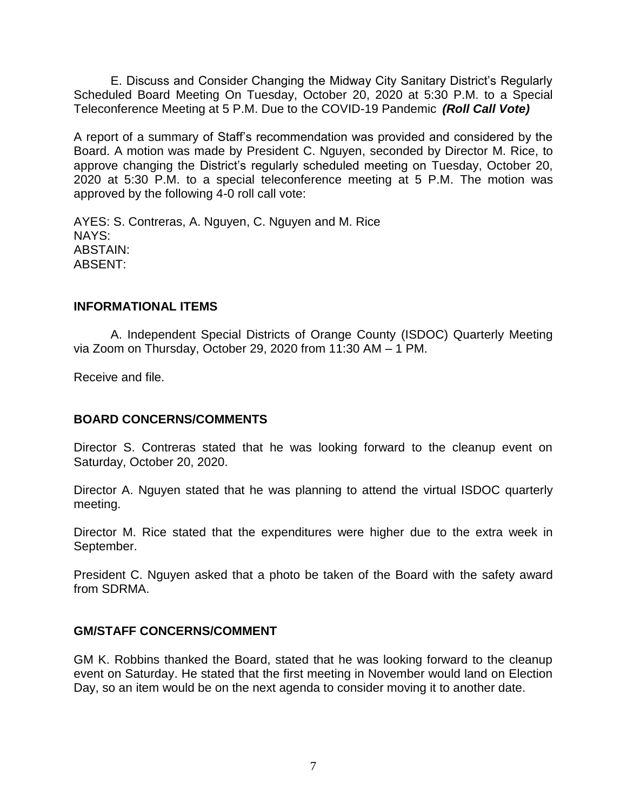E. Discuss and Consider Changing the Midway City Sanitary District's Regularly Scheduled Board Meeting On Tuesday, October 20, 2020 at 5:30 P.M. to a Special Teleconference Meeting at 5 P.M. Due to the COVID-19 Pandemic *(Roll Call Vote)*

A report of a summary of Staff's recommendation was provided and considered by the Board. A motion was made by President C. Nguyen, seconded by Director M. Rice, to approve changing the District's regularly scheduled meeting on Tuesday, October 20, 2020 at 5:30 P.M. to a special teleconference meeting at 5 P.M. The motion was approved by the following 4-0 roll call vote:

AYES: S. Contreras, A. Nguyen, C. Nguyen and M. Rice NAYS: ABSTAIN: ABSENT:

#### **INFORMATIONAL ITEMS**

A. Independent Special Districts of Orange County (ISDOC) Quarterly Meeting via Zoom on Thursday, October 29, 2020 from 11:30 AM – 1 PM.

Receive and file.

### **BOARD CONCERNS/COMMENTS**

Director S. Contreras stated that he was looking forward to the cleanup event on Saturday, October 20, 2020.

Director A. Nguyen stated that he was planning to attend the virtual ISDOC quarterly meeting.

Director M. Rice stated that the expenditures were higher due to the extra week in September.

President C. Nguyen asked that a photo be taken of the Board with the safety award from SDRMA.

### **GM/STAFF CONCERNS/COMMENT**

GM K. Robbins thanked the Board, stated that he was looking forward to the cleanup event on Saturday. He stated that the first meeting in November would land on Election Day, so an item would be on the next agenda to consider moving it to another date.